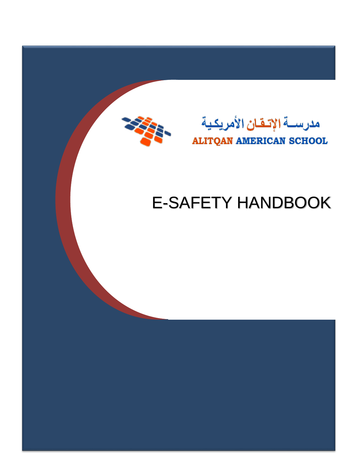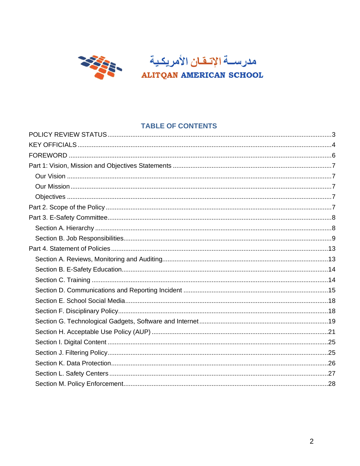

## **TABLE OF CONTENTS**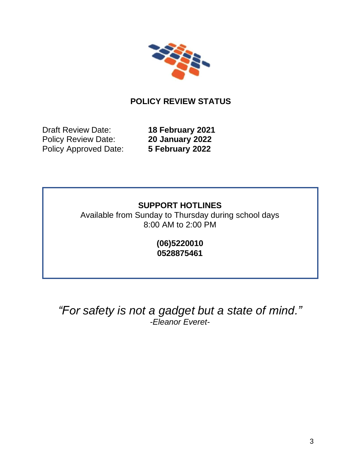

# **POLICY REVIEW STATUS**

<span id="page-2-0"></span>Draft Review Date: **18 February 2021** Policy Review Date: **20 January 2022** Policy Approved Date: **5 February 2022**

## **SUPPORT HOTLINES**

Available from Sunday to Thursday during school days 8:00 AM to 2:00 PM

> **(06)5220010 0528875461**

# *"For safety is not a gadget but a state of mind." -Eleanor Everet-*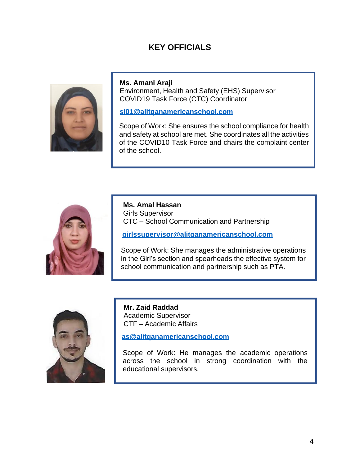## **KEY OFFICIALS**

<span id="page-3-0"></span>

**Ms. Amani Araji**

Environment, Health and Safety (EHS) Supervisor COVID19 Task Force (CTC) Coordinator

#### **[sl01@alitqanamericanschool.com](mailto:sl01@alitqanamericanschool.com)**

Scope of Work: She ensures the school compliance for health and safety at school are met. She coordinates all the activities of the COVID10 Task Force and chairs the complaint center of the school.



**Ms. Amal Hassan** Girls Supervisor CTC – School Communication and Partnership

**[girlssupervisor@alitqanamericanschool.com](mailto:girlssupervisor@alitqanamericanschool.com)**

Scope of Work: She manages the administrative operations in the Girl's section and spearheads the effective system for school communication and partnership such as PTA.



**Mr. Zaid Raddad** Academic Supervisor CTF – Academic Affairs

**[as@alitqanamericanschool.com](mailto:as@alitqanamericanschool.com)**

Scope of Work: He manages the academic operations across the school in strong coordination with the educational supervisors.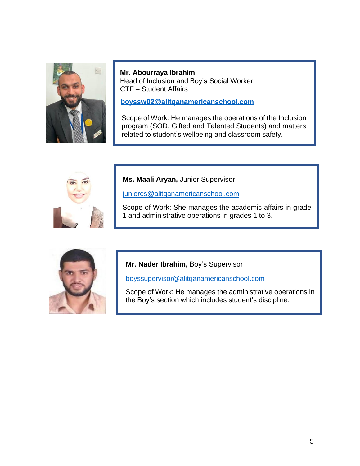

**Mr. Abourraya Ibrahim** Head of Inclusion and Boy's Social Worker CTF – Student Affairs

**[boyssw02@alitqanamericanschool.com](mailto:boyssw02@alitqanamericanschool.com)**

Scope of Work: He manages the operations of the Inclusion program (SOD, Gifted and Talented Students) and matters related to student's wellbeing and classroom safety.



**Ms. Maali Aryan,** Junior Supervisor

[juniores@alitqanamericanschool.com](mailto:juniores@alitqanamericanschool.com)

Scope of Work: She manages the academic affairs in grade 1 and administrative operations in grades 1 to 3.



**Mr. Nader Ibrahim,** Boy's Supervisor

[boyssupervisor@alitqanamericanschool.com](mailto:boyssupervisor@alitqanamericanschool.com)

Scope of Work: He manages the administrative operations in the Boy's section which includes student's discipline.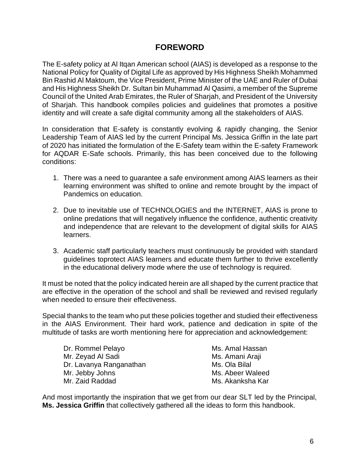## **FOREWORD**

<span id="page-5-0"></span>The E-safety policy at Al Itqan American school (AIAS) is developed as a response to the National Policy for Quality of Digital Life as approved by His Highness Sheikh Mohammed Bin Rashid Al Maktoum, the Vice President, Prime Minister of the UAE and Ruler of Dubai and His Highness Sheikh Dr. Sultan bin Muhammad Al Qasimi, a member of the Supreme Council of the United Arab Emirates, the Ruler of Sharjah, and President of the University of Sharjah. This handbook compiles policies and guidelines that promotes a positive identity and will create a safe digital community among all the stakeholders of AIAS.

In consideration that E-safety is constantly evolving & rapidly changing, the Senior Leadership Team of AIAS led by the current Principal Ms. Jessica Griffin in the late part of 2020 has initiated the formulation of the E-Safety team within the E-safety Framework for AQDAR E-Safe schools. Primarily, this has been conceived due to the following conditions:

- 1. There was a need to guarantee a safe environment among AIAS learners as their learning environment was shifted to online and remote brought by the impact of Pandemics on education.
- 2. Due to inevitable use of TECHNOLOGIES and the INTERNET, AIAS is prone to online predations that will negatively influence the confidence, authentic creativity and independence that are relevant to the development of digital skills for AIAS learners.
- 3. Academic staff particularly teachers must continuously be provided with standard guidelines toprotect AIAS learners and educate them further to thrive excellently in the educational delivery mode where the use of technology is required.

It must be noted that the policy indicated herein are all shaped by the current practice that are effective in the operation of the school and shall be reviewed and revised regularly when needed to ensure their effectiveness.

Special thanks to the team who put these policies together and studied their effectiveness in the AIAS Environment. Their hard work, patience and dedication in spite of the multitude of tasks are worth mentioning here for appreciation and acknowledgement:

Dr. Rommel Pelayo **Ms. Amal Hassan** Mr. Zeyad Al Sadi Mr. 2008 Ms. Amani Araji Dr. Lavanya Ranganathan Ms. Ola Bilal Mr. Jebby Johns Mr. Jebby Johns Mus. Abeer Waleed Mr. Zaid Raddad Ms. Akanksha Kar

And most importantly the inspiration that we get from our dear SLT led by the Principal, **Ms. Jessica Griffin** that collectively gathered all the ideas to form this handbook.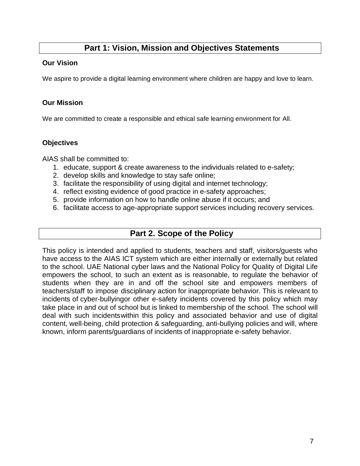## **Part 1: Vision, Mission and Objectives Statements**

#### <span id="page-6-0"></span>**Our Vision**

We aspire to provide a digital learning environment where children are happy and love to learn.

### <span id="page-6-1"></span>**Our Mission**

We are committed to create a responsible and ethical safe learning environment for All.

## <span id="page-6-2"></span>**Objectives**

AIAS shall be committed to:

- 1. educate, support & create awareness to the individuals related to e-safety;
- 2. develop skills and knowledge to stay safe online;
- 3. facilitate the responsibility of using digital and internet technology;
- 4. reflect existing evidence of good practice in e-safety approaches;
- 5. provide information on how to handle online abuse if it occurs; and
- 6. facilitate access to age-appropriate support services including recovery services.

## **Part 2. Scope of the Policy**

This policy is intended and applied to students, teachers and staff, visitors/guests who have access to the AIAS ICT system which are either internally or externally but related to the school. UAE National cyber laws and the National Policy for Quality of Digital Life empowers the school, to such an extent as is reasonable, to regulate the behavior of students when they are in and off the school site and empowers members of teachers/staff to impose disciplinary action for inappropriate behavior. This is relevant to incidents of cyber-bullyingor other e-safety incidents covered by this policy which may take place in and out of school but is linked to membership of the school. The school will deal with such incidentswithin this policy and associated behavior and use of digital content, well-being, child protection & safeguarding, anti-bullying policies and will, where known, inform parents/guardians of incidents of inappropriate e-safety behavior.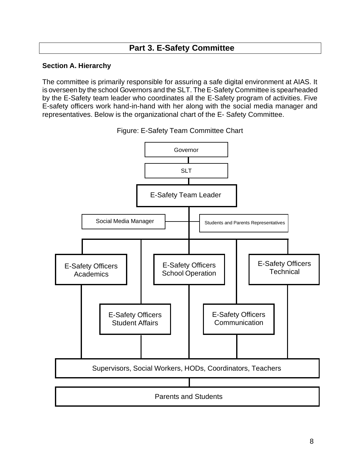## **Part 3. E-Safety Committee**

### <span id="page-7-0"></span>**Section A. Hierarchy**

The committee is primarily responsible for assuring a safe digital environment at AIAS. It is overseen by the school Governors and the SLT. The E-Safety Committee is spearheaded by the E-Safety team leader who coordinates all the E-Safety program of activities. Five E-safety officers work hand-in-hand with her along with the social media manager and representatives. Below is the organizational chart of the E- Safety Committee.



Figure: E-Safety Team Committee Chart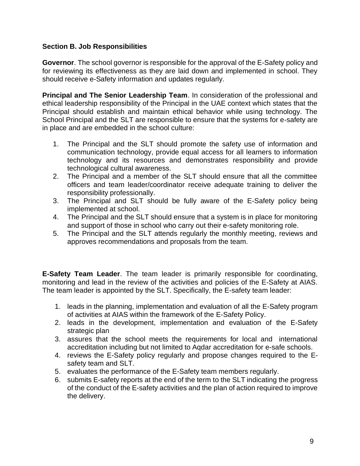### <span id="page-8-0"></span>**Section B. Job Responsibilities**

**Governor**. The school governor is responsible for the approval of the E-Safety policy and for reviewing its effectiveness as they are laid down and implemented in school. They should receive e-Safety information and updates regularly.

**Principal and The Senior Leadership Team**. In consideration of the professional and ethical leadership responsibility of the Principal in the UAE context which states that the Principal should establish and maintain ethical behavior while using technology. The School Principal and the SLT are responsible to ensure that the systems for e-safety are in place and are embedded in the school culture:

- 1. The Principal and the SLT should promote the safety use of information and communication technology, provide equal access for all learners to information technology and its resources and demonstrates responsibility and provide technological cultural awareness.
- 2. The Principal and a member of the SLT should ensure that all the committee officers and team leader/coordinator receive adequate training to deliver the responsibility professionally.
- 3. The Principal and SLT should be fully aware of the E-Safety policy being implemented at school.
- 4. The Principal and the SLT should ensure that a system is in place for monitoring and support of those in school who carry out their e-safety monitoring role.
- 5. The Principal and the SLT attends regularly the monthly meeting, reviews and approves recommendations and proposals from the team.

**E-Safety Team Leader**. The team leader is primarily responsible for coordinating, monitoring and lead in the review of the activities and policies of the E-Safety at AIAS. The team leader is appointed by the SLT. Specifically, the E-safety team leader:

- 1. leads in the planning, implementation and evaluation of all the E-Safety program of activities at AIAS within the framework of the E-Safety Policy.
- 2. leads in the development, implementation and evaluation of the E-Safety strategic plan
- 3. assures that the school meets the requirements for local and international accreditation including but not limited to Aqdar accreditation for e-safe schools.
- 4. reviews the E-Safety policy regularly and propose changes required to the Esafety team and SLT.
- 5. evaluates the performance of the E-Safety team members regularly.
- 6. submits E-safety reports at the end of the term to the SLT indicating the progress of the conduct of the E-safety activities and the plan of action required to improve the delivery.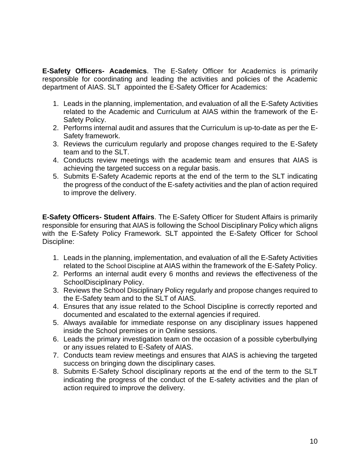**E-Safety Officers- Academics**. The E-Safety Officer for Academics is primarily responsible for coordinating and leading the activities and policies of the Academic department of AIAS. SLT appointed the E-Safety Officer for Academics:

- 1. Leads in the planning, implementation, and evaluation of all the E-Safety Activities related to the Academic and Curriculum at AIAS within the framework of the E-Safety Policy.
- 2. Performs internal audit and assures that the Curriculum is up-to-date as per the E-Safety framework.
- 3. Reviews the curriculum regularly and propose changes required to the E-Safety team and to the SLT.
- 4. Conducts review meetings with the academic team and ensures that AIAS is achieving the targeted success on a regular basis.
- 5. Submits E-Safety Academic reports at the end of the term to the SLT indicating the progress of the conduct of the E-safety activities and the plan of action required to improve the delivery.

**E-Safety Officers- Student Affairs**. The E-Safety Officer for Student Affairs is primarily responsible for ensuring that AIAS is following the School Disciplinary Policy which aligns with the E-Safety Policy Framework. SLT appointed the E-Safety Officer for School Discipline:

- 1. Leads in the planning, implementation, and evaluation of all the E-Safety Activities related to the School Discipline at AIAS within the framework of the E-Safety Policy.
- 2. Performs an internal audit every 6 months and reviews the effectiveness of the SchoolDisciplinary Policy.
- 3. Reviews the School Disciplinary Policy regularly and propose changes required to the E-Safety team and to the SLT of AIAS.
- 4. Ensures that any issue related to the School Discipline is correctly reported and documented and escalated to the external agencies if required.
- 5. Always available for immediate response on any disciplinary issues happened inside the School premises or in Online sessions.
- 6. Leads the primary investigation team on the occasion of a possible cyberbullying or any issues related to E-Safety of AIAS.
- 7. Conducts team review meetings and ensures that AIAS is achieving the targeted success on bringing down the disciplinary cases.
- 8. Submits E-Safety School disciplinary reports at the end of the term to the SLT indicating the progress of the conduct of the E-safety activities and the plan of action required to improve the delivery.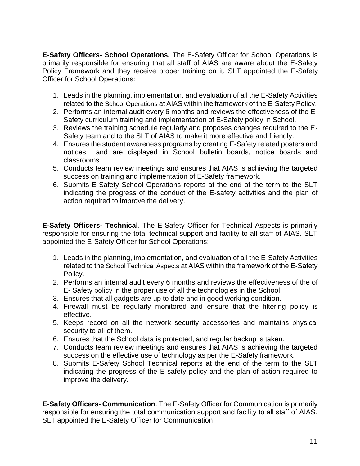**E-Safety Officers- School Operations.** The E-Safety Officer for School Operations is primarily responsible for ensuring that all staff of AIAS are aware about the E-Safety Policy Framework and they receive proper training on it. SLT appointed the E-Safety Officer for School Operations:

- 1. Leads in the planning, implementation, and evaluation of all the E-Safety Activities related to the School Operations at AIAS within the framework of the E-Safety Policy.
- 2. Performs an internal audit every 6 months and reviews the effectiveness of the E-Safety curriculum training and implementation of E-Safety policy in School.
- 3. Reviews the training schedule regularly and proposes changes required to the E-Safety team and to the SLT of AIAS to make it more effective and friendly.
- 4. Ensures the student awareness programs by creating E-Safety related posters and notices and are displayed in School bulletin boards, notice boards and classrooms.
- 5. Conducts team review meetings and ensures that AIAS is achieving the targeted success on training and implementation of E-Safety framework.
- 6. Submits E-Safety School Operations reports at the end of the term to the SLT indicating the progress of the conduct of the E-safety activities and the plan of action required to improve the delivery.

**E-Safety Officers- Technical**. The E-Safety Officer for Technical Aspects is primarily responsible for ensuring the total technical support and facility to all staff of AIAS. SLT appointed the E-Safety Officer for School Operations:

- 1. Leads in the planning, implementation, and evaluation of all the E-Safety Activities related to the School Technical Aspects at AIAS within the framework of the E-Safety Policy.
- 2. Performs an internal audit every 6 months and reviews the effectiveness of the of E- Safety policy in the proper use of all the technologies in the School.
- 3. Ensures that all gadgets are up to date and in good working condition.
- 4. Firewall must be regularly monitored and ensure that the filtering policy is effective.
- 5. Keeps record on all the network security accessories and maintains physical security to all of them.
- 6. Ensures that the School data is protected, and regular backup is taken.
- 7. Conducts team review meetings and ensures that AIAS is achieving the targeted success on the effective use of technology as per the E-Safety framework.
- 8. Submits E-Safety School Technical reports at the end of the term to the SLT indicating the progress of the E-safety policy and the plan of action required to improve the delivery.

**E-Safety Officers- Communication**. The E-Safety Officer for Communication is primarily responsible for ensuring the total communication support and facility to all staff of AIAS. SLT appointed the E-Safety Officer for Communication: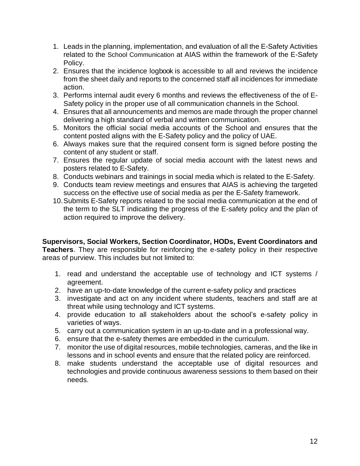- 1. Leads in the planning, implementation, and evaluation of all the E-Safety Activities related to the School Communication at AIAS within the framework of the E-Safety Policy.
- 2. Ensures that the incidence logbook is accessible to all and reviews the incidence from the sheet daily and reports to the concerned staff all incidences for immediate action.
- 3. Performs internal audit every 6 months and reviews the effectiveness of the of E-Safety policy in the proper use of all communication channels in the School.
- 4. Ensures that all announcements and memos are made through the proper channel delivering a high standard of verbal and written communication.
- 5. Monitors the official social media accounts of the School and ensures that the content posted aligns with the E-Safety policy and the policy of UAE.
- 6. Always makes sure that the required consent form is signed before posting the content of any student or staff.
- 7. Ensures the regular update of social media account with the latest news and posters related to E-Safety.
- 8. Conducts webinars and trainings in social media which is related to the E-Safety.
- 9. Conducts team review meetings and ensures that AIAS is achieving the targeted success on the effective use of social media as per the E-Safety framework.
- 10.Submits E-Safety reports related to the social media communication at the end of the term to the SLT indicating the progress of the E-safety policy and the plan of action required to improve the delivery.

**Supervisors, Social Workers, Section Coordinator, HODs, Event Coordinators and Teachers**. They are responsible for reinforcing the e-safety policy in their respective areas of purview. This includes but not limited to:

- 1. read and understand the acceptable use of technology and ICT systems / agreement.
- 2. have an up-to-date knowledge of the current e-safety policy and practices
- 3. investigate and act on any incident where students, teachers and staff are at threat while using technology and ICT systems.
- 4. provide education to all stakeholders about the school's e-safety policy in varieties of ways.
- 5. carry out a communication system in an up-to-date and in a professional way.
- 6. ensure that the e-safety themes are embedded in the curriculum.
- 7. monitor the use of digital resources, mobile technologies, cameras, and the like in lessons and in school events and ensure that the related policy are reinforced.
- 8. make students understand the acceptable use of digital resources and technologies and provide continuous awareness sessions to them based on their needs.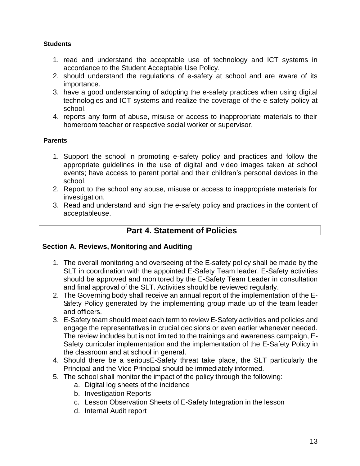#### **Students**

- 1. read and understand the acceptable use of technology and ICT systems in accordance to the Student Acceptable Use Policy.
- 2. should understand the regulations of e-safety at school and are aware of its importance.
- 3. have a good understanding of adopting the e-safety practices when using digital technologies and ICT systems and realize the coverage of the e-safety policy at school.
- 4. reports any form of abuse, misuse or access to inappropriate materials to their homeroom teacher or respective social worker or supervisor.

### **Parents**

- 1. Support the school in promoting e-safety policy and practices and follow the appropriate guidelines in the use of digital and video images taken at school events; have access to parent portal and their children's personal devices in the school.
- 2. Report to the school any abuse, misuse or access to inappropriate materials for investigation.
- 3. Read and understand and sign the e-safety policy and practices in the content of acceptableuse.

## **Part 4. Statement of Policies**

#### <span id="page-12-0"></span>**Section A. Reviews, Monitoring and Auditing**

- 1. The overall monitoring and overseeing of the E-safety policy shall be made by the SLT in coordination with the appointed E-Safety Team leader. E-Safety activities should be approved and monitored by the E-Safety Team Leader in consultation and final approval of the SLT. Activities should be reviewed regularly.
- 2. The Governing body shall receive an annual report of the implementation of the E-Safety Policy generated by the implementing group made up of the team leader and officers.
- 3. E-Safety team should meet each term to review E-Safety activities and policies and engage the representatives in crucial decisions or even earlier whenever needed. The review includes but is not limited to the trainings and awareness campaign, E-Safety curricular implementation and the implementation of the E-Safety Policy in the classroom and at school in general.
- 4. Should there be a seriousE-Safety threat take place, the SLT particularly the Principal and the Vice Principal should be immediately informed.
- 5. The school shall monitor the impact of the policy through the following:
	- a. Digital log sheets of the incidence
	- b. Investigation Reports
	- c. Lesson Observation Sheets of E-Safety Integration in the lesson
	- d. Internal Audit report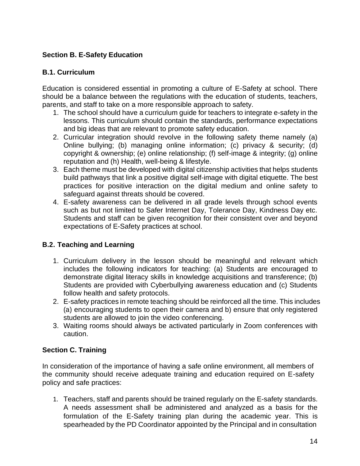## <span id="page-13-0"></span>**Section B. E-Safety Education**

## **B.1. Curriculum**

Education is considered essential in promoting a culture of E-Safety at school. There should be a balance between the regulations with the education of students, teachers, parents, and staff to take on a more responsible approach to safety.

- 1. The school should have a curriculum guide for teachers to integrate e-safety in the lessons. This curriculum should contain the standards, performance expectations and big ideas that are relevant to promote safety education.
- 2. Curricular integration should revolve in the following safety theme namely (a) Online bullying; (b) managing online information; (c) privacy & security; (d) copyright & ownership; (e) online relationship; (f) self-image & integrity; (g) online reputation and (h) Health, well-being & lifestyle.
- 3. Each theme must be developed with digital citizenship activities that helps students build pathways that link a positive digital self-image with digital etiquette. The best practices for positive interaction on the digital medium and online safety to safeguard against threats should be covered.
- 4. E-safety awareness can be delivered in all grade levels through school events such as but not limited to Safer Internet Day, Tolerance Day, Kindness Day etc. Students and staff can be given recognition for their consistent over and beyond expectations of E-Safety practices at school.

## **B.2. Teaching and Learning**

- 1. Curriculum delivery in the lesson should be meaningful and relevant which includes the following indicators for teaching: (a) Students are encouraged to demonstrate digital literacy skills in knowledge acquisitions and transference; (b) Students are provided with Cyberbullying awareness education and (c) Students follow health and safety protocols.
- 2. E-safety practices in remote teaching should be reinforced all the time. This includes (a) encouraging students to open their camera and b) ensure that only registered students are allowed to join the video conferencing.
- 3. Waiting rooms should always be activated particularly in Zoom conferences with caution.

## <span id="page-13-1"></span>**Section C. Training**

In consideration of the importance of having a safe online environment, all members of the community should receive adequate training and education required on E-safety policy and safe practices:

1. Teachers, staff and parents should be trained regularly on the E-safety standards. A needs assessment shall be administered and analyzed as a basis for the formulation of the E-Safety training plan during the academic year. This is spearheaded by the PD Coordinator appointed by the Principal and in consultation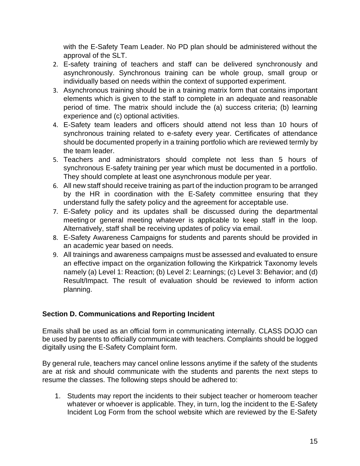with the E-Safety Team Leader. No PD plan should be administered without the approval of the SLT.

- 2. E-safety training of teachers and staff can be delivered synchronously and asynchronously. Synchronous training can be whole group, small group or individually based on needs within the context of supported experiment.
- 3. Asynchronous training should be in a training matrix form that contains important elements which is given to the staff to complete in an adequate and reasonable period of time. The matrix should include the (a) success criteria; (b) learning experience and (c) optional activities.
- 4. E-Safety team leaders and officers should attend not less than 10 hours of synchronous training related to e-safety every year. Certificates of attendance should be documented properly in a training portfolio which are reviewed termly by the team leader.
- 5. Teachers and administrators should complete not less than 5 hours of synchronous E-safety training per year which must be documented in a portfolio. They should complete at least one asynchronous module per year.
- 6. All new staff should receive training as part of the induction program to be arranged by the HR in coordination with the E-Safety committee ensuring that they understand fully the safety policy and the agreement for acceptable use.
- 7. E-Safety policy and its updates shall be discussed during the departmental meeting or general meeting whatever is applicable to keep staff in the loop. Alternatively, staff shall be receiving updates of policy via email.
- 8. E-Safety Awareness Campaigns for students and parents should be provided in an academic year based on needs.
- 9. All trainings and awareness campaigns must be assessed and evaluated to ensure an effective impact on the organization following the Kirkpatrick Taxonomy levels namely (a) Level 1: Reaction; (b) Level 2: Learnings; (c) Level 3: Behavior; and (d) Result/Impact. The result of evaluation should be reviewed to inform action planning.

## <span id="page-14-0"></span>**Section D. Communications and Reporting Incident**

Emails shall be used as an official form in communicating internally. CLASS DOJO can be used by parents to officially communicate with teachers. Complaints should be logged digitally using the E-Safety Complaint form.

By general rule, teachers may cancel online lessons anytime if the safety of the students are at risk and should communicate with the students and parents the next steps to resume the classes. The following steps should be adhered to:

1. Students may report the incidents to their subject teacher or homeroom teacher whatever or whoever is applicable. They, in turn, log the incident to the E-Safety Incident Log Form from the school website which are reviewed by the E-Safety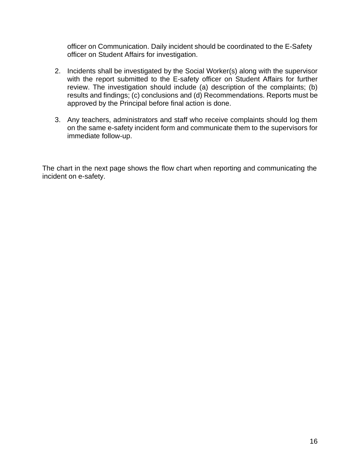officer on Communication. Daily incident should be coordinated to the E-Safety officer on Student Affairs for investigation.

- 2. Incidents shall be investigated by the Social Worker(s) along with the supervisor with the report submitted to the E-safety officer on Student Affairs for further review. The investigation should include (a) description of the complaints; (b) results and findings; (c) conclusions and (d) Recommendations. Reports must be approved by the Principal before final action is done.
- 3. Any teachers, administrators and staff who receive complaints should log them on the same e-safety incident form and communicate them to the supervisors for immediate follow-up.

The chart in the next page shows the flow chart when reporting and communicating the incident on e-safety.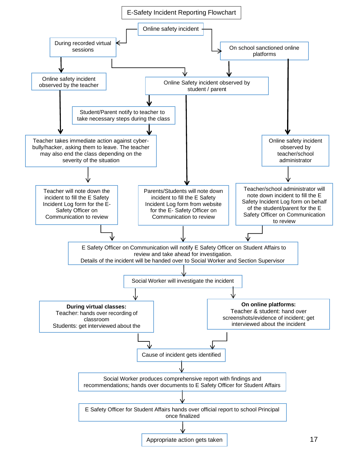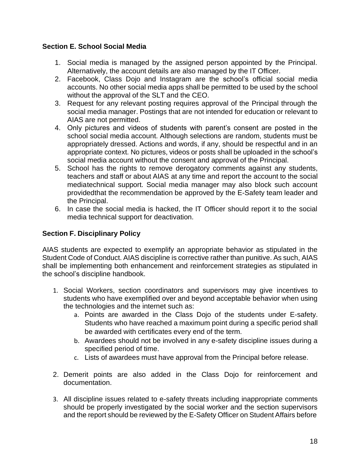## <span id="page-17-0"></span>**Section E. School Social Media**

- 1. Social media is managed by the assigned person appointed by the Principal. Alternatively, the account details are also managed by the IT Officer.
- 2. Facebook, Class Dojo and Instagram are the school's official social media accounts. No other social media apps shall be permitted to be used by the school without the approval of the SLT and the CEO.
- 3. Request for any relevant posting requires approval of the Principal through the social media manager. Postings that are not intended for education or relevant to AIAS are not permitted.
- 4. Only pictures and videos of students with parent's consent are posted in the school social media account. Although selections are random, students must be appropriately dressed. Actions and words, if any, should be respectful and in an appropriate context. No pictures, videos or posts shall be uploaded in the school's social media account without the consent and approval of the Principal.
- 5. School has the rights to remove derogatory comments against any students, teachers and staff or about AIAS at any time and report the account to the social mediatechnical support. Social media manager may also block such account providedthat the recommendation be approved by the E-Safety team leader and the Principal.
- 6. In case the social media is hacked, the IT Officer should report it to the social media technical support for deactivation.

## <span id="page-17-1"></span>**Section F. Disciplinary Policy**

AIAS students are expected to exemplify an appropriate behavior as stipulated in the Student Code of Conduct. AIAS discipline is corrective rather than punitive. As such, AIAS shall be implementing both enhancement and reinforcement strategies as stipulated in the school's discipline handbook.

- 1. Social Workers, section coordinators and supervisors may give incentives to students who have exemplified over and beyond acceptable behavior when using the technologies and the internet such as:
	- a. Points are awarded in the Class Dojo of the students under E-safety. Students who have reached a maximum point during a specific period shall be awarded with certificates every end of the term.
	- b. Awardees should not be involved in any e-safety discipline issues during a specified period of time.
	- c. Lists of awardees must have approval from the Principal before release.
- 2. Demerit points are also added in the Class Dojo for reinforcement and documentation.
- 3. All discipline issues related to e-safety threats including inappropriate comments should be properly investigated by the social worker and the section supervisors and the report should be reviewed by the E-Safety Officer on Student Affairs before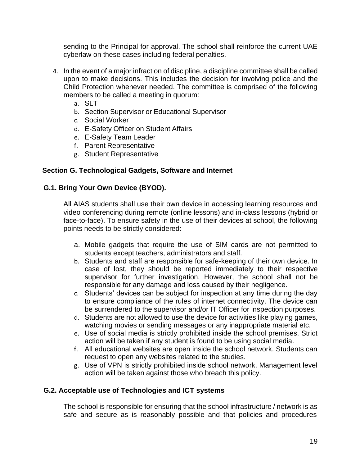sending to the Principal for approval. The school shall reinforce the current UAE cyberlaw on these cases including federal penalties.

- 4. In the event of a major infraction of discipline, a discipline committee shall be called upon to make decisions. This includes the decision for involving police and the Child Protection whenever needed. The committee is comprised of the following members to be called a meeting in quorum:
	- a. SLT
	- b. Section Supervisor or Educational Supervisor
	- c. Social Worker
	- d. E-Safety Officer on Student Affairs
	- e. E-Safety Team Leader
	- f. Parent Representative
	- g. Student Representative

#### <span id="page-18-0"></span>**Section G. Technological Gadgets, Software and Internet**

#### **G.1. Bring Your Own Device (BYOD).**

All AIAS students shall use their own device in accessing learning resources and video conferencing during remote (online lessons) and in-class lessons (hybrid or face-to-face). To ensure safety in the use of their devices at school, the following points needs to be strictly considered:

- a. Mobile gadgets that require the use of SIM cards are not permitted to students except teachers, administrators and staff.
- b. Students and staff are responsible for safe-keeping of their own device. In case of lost, they should be reported immediately to their respective supervisor for further investigation. However, the school shall not be responsible for any damage and loss caused by their negligence.
- c. Students' devices can be subject for inspection at any time during the day to ensure compliance of the rules of internet connectivity. The device can be surrendered to the supervisor and/or IT Officer for inspection purposes.
- d. Students are not allowed to use the device for activities like playing games, watching movies or sending messages or any inappropriate material etc.
- e. Use of social media is strictly prohibited inside the school premises. Strict action will be taken if any student is found to be using social media.
- f. All educational websites are open inside the school network. Students can request to open any websites related to the studies.
- g. Use of VPN is strictly prohibited inside school network. Management level action will be taken against those who breach this policy.

#### **G.2. Acceptable use of Technologies and ICT systems**

The school is responsible for ensuring that the school infrastructure / network is as safe and secure as is reasonably possible and that policies and procedures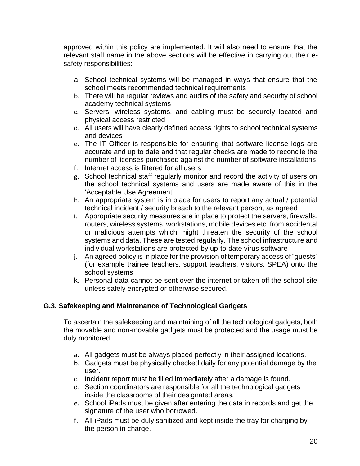approved within this policy are implemented. It will also need to ensure that the relevant staff name in the above sections will be effective in carrying out their esafety responsibilities:

- a. School technical systems will be managed in ways that ensure that the school meets recommended technical requirements
- b. There will be regular reviews and audits of the safety and security of school academy technical systems
- c. Servers, wireless systems, and cabling must be securely located and physical access restricted
- d. All users will have clearly defined access rights to school technical systems and devices
- e. The IT Officer is responsible for ensuring that software license logs are accurate and up to date and that regular checks are made to reconcile the number of licenses purchased against the number of software installations
- f. Internet access is filtered for all users
- g. School technical staff regularly monitor and record the activity of users on the school technical systems and users are made aware of this in the 'Acceptable Use Agreement'
- h. An appropriate system is in place for users to report any actual / potential technical incident / security breach to the relevant person, as agreed
- i. Appropriate security measures are in place to protect the servers, firewalls, routers, wireless systems, workstations, mobile devices etc. from accidental or malicious attempts which might threaten the security of the school systems and data. These are tested regularly. The school infrastructure and individual workstations are protected by up-to-date virus software
- j. An agreed policy is in place for the provision of temporary access of "guests" (for example trainee teachers, support teachers, visitors, SPEA) onto the school systems
- k. Personal data cannot be sent over the internet or taken off the school site unless safely encrypted or otherwise secured.

## **G.3. Safekeeping and Maintenance of Technological Gadgets**

To ascertain the safekeeping and maintaining of all the technological gadgets, both the movable and non-movable gadgets must be protected and the usage must be duly monitored.

- a. All gadgets must be always placed perfectly in their assigned locations.
- b. Gadgets must be physically checked daily for any potential damage by the user.
- c. Incident report must be filled immediately after a damage is found.
- d. Section coordinators are responsible for all the technological gadgets inside the classrooms of their designated areas.
- e. School iPads must be given after entering the data in records and get the signature of the user who borrowed.
- f. All iPads must be duly sanitized and kept inside the tray for charging by the person in charge.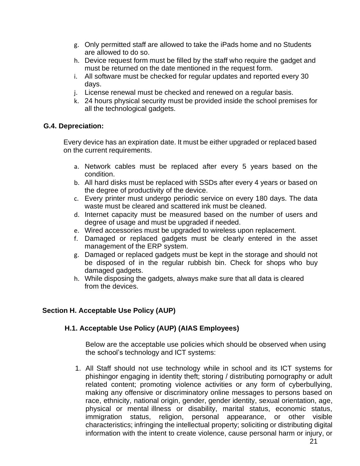- g. Only permitted staff are allowed to take the iPads home and no Students are allowed to do so.
- h. Device request form must be filled by the staff who require the gadget and must be returned on the date mentioned in the request form.
- i. All software must be checked for regular updates and reported every 30 days.
- j. License renewal must be checked and renewed on a regular basis.
- k. 24 hours physical security must be provided inside the school premises for all the technological gadgets.

### **G.4. Depreciation:**

Every device has an expiration date. It must be either upgraded or replaced based on the current requirements.

- a. Network cables must be replaced after every 5 years based on the condition.
- b. All hard disks must be replaced with SSDs after every 4 years or based on the degree of productivity of the device.
- c. Every printer must undergo periodic service on every 180 days. The data waste must be cleared and scattered ink must be cleaned.
- d. Internet capacity must be measured based on the number of users and degree of usage and must be upgraded if needed.
- e. Wired accessories must be upgraded to wireless upon replacement.
- f. Damaged or replaced gadgets must be clearly entered in the asset management of the ERP system.
- g. Damaged or replaced gadgets must be kept in the storage and should not be disposed of in the regular rubbish bin. Check for shops who buy damaged gadgets.
- h. While disposing the gadgets, always make sure that all data is cleared from the devices.

## <span id="page-20-0"></span>**Section H. Acceptable Use Policy (AUP)**

## **H.1. Acceptable Use Policy (AUP) (AIAS Employees)**

Below are the acceptable use policies which should be observed when using the school's technology and ICT systems:

1. All Staff should not use technology while in school and its ICT systems for phishingor engaging in identity theft; storing / distributing pornography or adult related content; promoting violence activities or any form of cyberbullying, making any offensive or discriminatory online messages to persons based on race, ethnicity, national origin, gender, gender identity, sexual orientation, age, physical or mental illness or disability, marital status, economic status, immigration status, religion, personal appearance, or other visible characteristics; infringing the intellectual property; soliciting or distributing digital information with the intent to create violence, cause personal harm or injury, or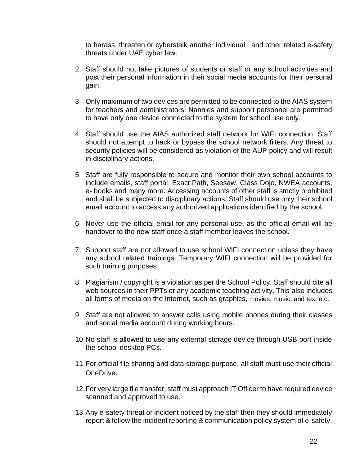to harass, threaten or cyberstalk another individual; and other related e-safety threats under UAE cyber law.

- 2. Staff should not take pictures of students or staff or any school activities and post their personal information in their social media accounts for their personal gain.
- 3. Only maximum of two devices are permitted to be connected to the AIAS system for teachers and administrators. Nannies and support personnel are permitted to have only one device connected to the system for school use only.
- 4. Staff should use the AIAS authorized staff network for WIFI connection. Staff should not attempt to hack or bypass the school network filters. Any threat to security policies will be considered as violation of the AUP policy and will result in disciplinary actions.
- 5. Staff are fully responsible to secure and monitor their own school accounts to include emails, staff portal, Exact Path, Seesaw, Class Dojo, NWEA accounts, e- books and many more. Accessing accounts of other staff is strictly prohibited and shall be subjected to disciplinary actions. Staff should use only their school email account to access any authorized applications identified by the school.
- 6. Never use the official email for any personal use, as the official email will be handover to the new staff once a staff member leaves the school.
- 7. Support staff are not allowed to use school WIFI connection unless they have any school related trainings. Temporary WIFI connection will be provided for such training purposes.
- 8. Plagiarism / copyright is a violation as per the School Policy. Staff should cite all web sources in their PPTs or any academic teaching activity. This also includes all forms of media on the Internet, such as graphics, movies, music, and text etc.
- 9. Staff are not allowed to answer calls using mobile phones during their classes and social media account during working hours.
- 10.No staff is allowed to use any external storage device through USB port inside the school desktop PCs.
- 11.For official file sharing and data storage purpose, all staff must use their official OneDrive.
- 12.For very large file transfer, staff must approach IT Officer to have required device scanned and approved to use.
- 13.Any e-safety threat or incident noticed by the staff then they should immediately report & follow the incident reporting & communication policy system of e-safety.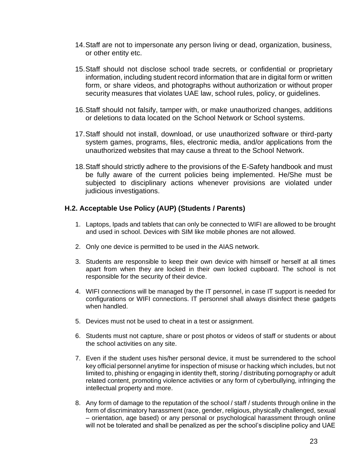- 14.Staff are not to impersonate any person living or dead, organization, business, or other entity etc.
- 15.Staff should not disclose school trade secrets, or confidential or proprietary information, including student record information that are in digital form or written form, or share videos, and photographs without authorization or without proper security measures that violates UAE law, school rules, policy, or guidelines.
- 16.Staff should not falsify, tamper with, or make unauthorized changes, additions or deletions to data located on the School Network or School systems.
- 17.Staff should not install, download, or use unauthorized software or third-party system games, programs, files, electronic media, and/or applications from the unauthorized websites that may cause a threat to the School Network.
- 18.Staff should strictly adhere to the provisions of the E-Safety handbook and must be fully aware of the current policies being implemented. He/She must be subjected to disciplinary actions whenever provisions are violated under judicious investigations.

#### **H.2. Acceptable Use Policy (AUP) (Students / Parents)**

- 1. Laptops, Ipads and tablets that can only be connected to WIFI are allowed to be brought and used in school. Devices with SIM like mobile phones are not allowed.
- 2. Only one device is permitted to be used in the AIAS network.
- 3. Students are responsible to keep their own device with himself or herself at all times apart from when they are locked in their own locked cupboard. The school is not responsible for the security of their device.
- 4. WIFI connections will be managed by the IT personnel, in case IT support is needed for configurations or WIFI connections. IT personnel shall always disinfect these gadgets when handled.
- 5. Devices must not be used to cheat in a test or assignment.
- 6. Students must not capture, share or post photos or videos of staff or students or about the school activities on any site.
- 7. Even if the student uses his/her personal device, it must be surrendered to the school key official personnel anytime for inspection of misuse or hacking which includes, but not limited to, phishing or engaging in identity theft, storing / distributing pornography or adult related content, promoting violence activities or any form of cyberbullying, infringing the intellectual property and more.
- 8. Any form of damage to the reputation of the school / staff / students through online in the form of discriminatory harassment (race, gender, religious, physically challenged, sexual – orientation, age based) or any personal or psychological harassment through online will not be tolerated and shall be penalized as per the school's discipline policy and UAE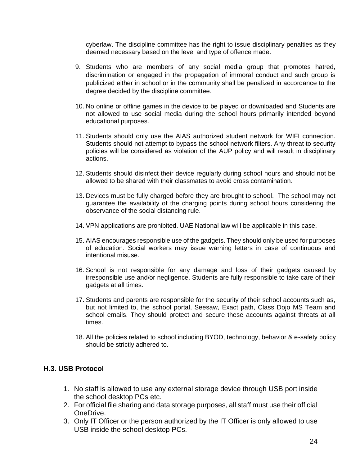cyberlaw. The discipline committee has the right to issue disciplinary penalties as they deemed necessary based on the level and type of offence made.

- 9. Students who are members of any social media group that promotes hatred, discrimination or engaged in the propagation of immoral conduct and such group is publicized either in school or in the community shall be penalized in accordance to the degree decided by the discipline committee.
- 10. No online or offline games in the device to be played or downloaded and Students are not allowed to use social media during the school hours primarily intended beyond educational purposes.
- 11. Students should only use the AIAS authorized student network for WIFI connection. Students should not attempt to bypass the school network filters. Any threat to security policies will be considered as violation of the AUP policy and will result in disciplinary actions.
- 12. Students should disinfect their device regularly during school hours and should not be allowed to be shared with their classmates to avoid cross contamination.
- 13. Devices must be fully charged before they are brought to school. The school may not guarantee the availability of the charging points during school hours considering the observance of the social distancing rule.
- 14. VPN applications are prohibited. UAE National law will be applicable in this case.
- 15. AIAS encourages responsible use of the gadgets. They should only be used for purposes of education. Social workers may issue warning letters in case of continuous and intentional misuse.
- 16. School is not responsible for any damage and loss of their gadgets caused by irresponsible use and/or negligence. Students are fully responsible to take care of their gadgets at all times.
- 17. Students and parents are responsible for the security of their school accounts such as, but not limited to, the school portal, Seesaw, Exact path, Class Dojo MS Team and school emails. They should protect and secure these accounts against threats at all times.
- 18. All the policies related to school including BYOD, technology, behavior & e-safety policy should be strictly adhered to.

#### **H.3. USB Protocol**

- 1. No staff is allowed to use any external storage device through USB port inside the school desktop PCs etc.
- 2. For official file sharing and data storage purposes, all staff must use their official OneDrive.
- 3. Only IT Officer or the person authorized by the IT Officer is only allowed to use USB inside the school desktop PCs.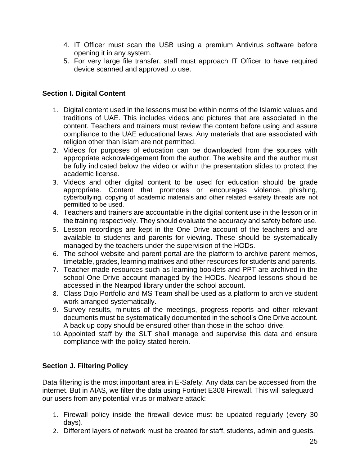- 4. IT Officer must scan the USB using a premium Antivirus software before opening it in any system.
- 5. For very large file transfer, staff must approach IT Officer to have required device scanned and approved to use.

### <span id="page-24-0"></span>**Section I. Digital Content**

- 1. Digital content used in the lessons must be within norms of the Islamic values and traditions of UAE. This includes videos and pictures that are associated in the content. Teachers and trainers must review the content before using and assure compliance to the UAE educational laws. Any materials that are associated with religion other than Islam are not permitted.
- 2. Videos for purposes of education can be downloaded from the sources with appropriate acknowledgement from the author. The website and the author must be fully indicated below the video or within the presentation slides to protect the academic license.
- 3. Videos and other digital content to be used for education should be grade appropriate. Content that promotes or encourages violence, phishing, cyberbullying, copying of academic materials and other related e-safety threats are not permitted to be used.
- 4. Teachers and trainers are accountable in the digital content use in the lesson or in the training respectively. They should evaluate the accuracy and safety before use.
- 5. Lesson recordings are kept in the One Drive account of the teachers and are available to students and parents for viewing. These should be systematically managed by the teachers under the supervision of the HODs.
- 6. The school website and parent portal are the platform to archive parent memos, timetable, grades, learning matrixes and other resources for students and parents.
- 7. Teacher made resources such as learning booklets and PPT are archived in the school One Drive account managed by the HODs. Nearpod lessons should be accessed in the Nearpod library under the school account.
- 8. Class Dojo Portfolio and MS Team shall be used as a platform to archive student work arranged systematically.
- 9. Survey results, minutes of the meetings, progress reports and other relevant documents must be systematically documented in the school's One Drive account. A back up copy should be ensured other than those in the school drive.
- 10. Appointed staff by the SLT shall manage and supervise this data and ensure compliance with the policy stated herein.

## <span id="page-24-1"></span>**Section J. Filtering Policy**

Data filtering is the most important area in E-Safety. Any data can be accessed from the internet. But in AIAS, we filter the data using Fortinet E308 Firewall. This will safeguard our users from any potential virus or malware attack:

- 1. Firewall policy inside the firewall device must be updated regularly (every 30 days).
- 2. Different layers of network must be created for staff, students, admin and guests.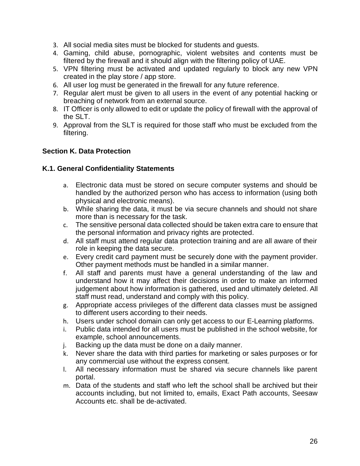- 3. All social media sites must be blocked for students and guests.
- 4. Gaming, child abuse, pornographic, violent websites and contents must be filtered by the firewall and it should align with the filtering policy of UAE.
- 5. VPN filtering must be activated and updated regularly to block any new VPN created in the play store / app store.
- 6. All user log must be generated in the firewall for any future reference.
- 7. Regular alert must be given to all users in the event of any potential hacking or breaching of network from an external source.
- 8. IT Officer is only allowed to edit or update the policy of firewall with the approval of the SLT.
- 9. Approval from the SLT is required for those staff who must be excluded from the filtering.

## <span id="page-25-0"></span>**Section K. Data Protection**

#### **K.1. General Confidentiality Statements**

- a. Electronic data must be stored on secure computer systems and should be handled by the authorized person who has access to information (using both physical and electronic means).
- b. While sharing the data, it must be via secure channels and should not share more than is necessary for the task.
- c. The sensitive personal data collected should be taken extra care to ensure that the personal information and privacy rights are protected.
- d. All staff must attend regular data protection training and are all aware of their role in keeping the data secure.
- e. Every credit card payment must be securely done with the payment provider. Other payment methods must be handled in a similar manner.
- f. All staff and parents must have a general understanding of the law and understand how it may affect their decisions in order to make an informed judgement about how information is gathered, used and ultimately deleted. All staff must read, understand and comply with this policy.
- g. Appropriate access privileges of the different data classes must be assigned to different users according to their needs.
- h. Users under school domain can only get access to our E-Learning platforms.<br>i. Public data intended for all users must be published in the school website. for
- Public data intended for all users must be published in the school website, for example, school announcements.
- j. Backing up the data must be done on a daily manner.
- k. Never share the data with third parties for marketing or sales purposes or for any commercial use without the express consent.
- l. All necessary information must be shared via secure channels like parent portal.
- m. Data of the students and staff who left the school shall be archived but their accounts including, but not limited to, emails, Exact Path accounts, Seesaw Accounts etc. shall be de-activated.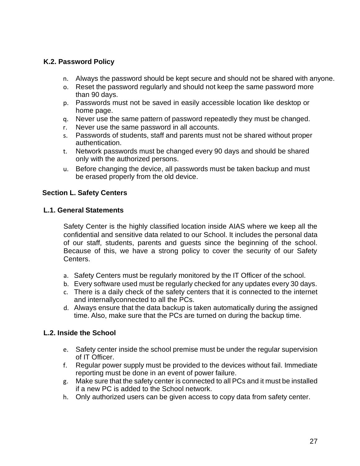### **K.2. Password Policy**

- n. Always the password should be kept secure and should not be shared with anyone.
- o. Reset the password regularly and should not keep the same password more than 90 days.
- p. Passwords must not be saved in easily accessible location like desktop or home page.
- q. Never use the same pattern of password repeatedly they must be changed.
- r. Never use the same password in all accounts.
- s. Passwords of students, staff and parents must not be shared without proper authentication.
- t. Network passwords must be changed every 90 days and should be shared only with the authorized persons.
- u. Before changing the device, all passwords must be taken backup and must be erased properly from the old device.

#### <span id="page-26-0"></span>**Section L. Safety Centers**

#### **L.1. General Statements**

Safety Center is the highly classified location inside AIAS where we keep all the confidential and sensitive data related to our School. It includes the personal data of our staff, students, parents and guests since the beginning of the school. Because of this, we have a strong policy to cover the security of our Safety Centers.

- a. Safety Centers must be regularly monitored by the IT Officer of the school.
- b. Every software used must be regularly checked for any updates every 30 days.
- c. There is a daily check of the safety centers that it is connected to the internet and internallyconnected to all the PCs.
- d. Always ensure that the data backup is taken automatically during the assigned time. Also, make sure that the PCs are turned on during the backup time.

#### **L.2. Inside the School**

- e. Safety center inside the school premise must be under the regular supervision of IT Officer.
- f. Regular power supply must be provided to the devices without fail. Immediate reporting must be done in an event of power failure.
- g. Make sure that the safety center is connected to all PCs and it must be installed if a new PC is added to the School network.
- h. Only authorized users can be given access to copy data from safety center.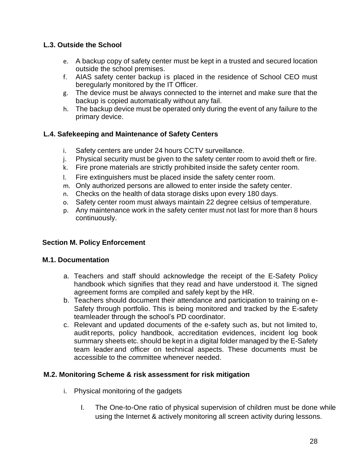## **L.3. Outside the School**

- e. A backup copy of safety center must be kept in a trusted and secured location outside the school premises.
- f. AIAS safety center backup is placed in the residence of School CEO must beregularly monitored by the IT Officer.
- g. The device must be always connected to the internet and make sure that the backup is copied automatically without any fail.
- h. The backup device must be operated only during the event of any failure to the primary device.

## **L.4. Safekeeping and Maintenance of Safety Centers**

- i. Safety centers are under 24 hours CCTV surveillance.
- j. Physical security must be given to the safety center room to avoid theft or fire.
- k. Fire prone materials are strictly prohibited inside the safety center room.
- l. Fire extinguishers must be placed inside the safety center room.
- m. Only authorized persons are allowed to enter inside the safety center.
- n. Checks on the health of data storage disks upon every 180 days.
- o. Safety center room must always maintain 22 degree celsius of temperature.
- p. Any maintenance work in the safety center must not last for more than 8 hours continuously.

## <span id="page-27-0"></span>**Section M. Policy Enforcement**

## **M.1. Documentation**

- a. Teachers and staff should acknowledge the receipt of the E-Safety Policy handbook which signifies that they read and have understood it. The signed agreement forms are compiled and safely kept by the HR.
- b. Teachers should document their attendance and participation to training on e-Safety through portfolio. This is being monitored and tracked by the E-safety teamleader through the school's PD coordinator.
- c. Relevant and updated documents of the e-safety such as, but not limited to, audit reports, policy handbook, accreditation evidences, incident log book summary sheets etc. should be kept in a digital folder managed by the E-Safety team leader and officer on technical aspects. These documents must be accessible to the committee whenever needed.

## **M.2. Monitoring Scheme & risk assessment for risk mitigation**

- i. Physical monitoring of the gadgets
	- I. The One-to-One ratio of physical supervision of children must be done while using the Internet & actively monitoring all screen activity during lessons.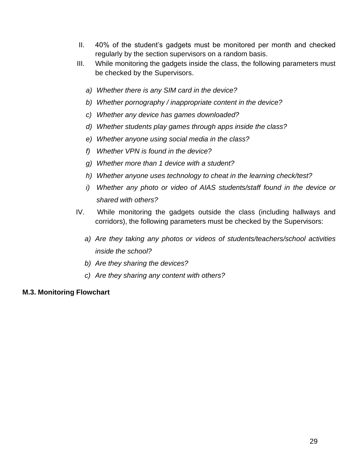- II. 40% of the student's gadgets must be monitored per month and checked regularly by the section supervisors on a random basis.
- III. While monitoring the gadgets inside the class, the following parameters must be checked by the Supervisors.
	- *a) Whether there is any SIM card in the device?*
	- *b) Whether pornography / inappropriate content in the device?*
	- *c) Whether any device has games downloaded?*
	- *d) Whether students play games through apps inside the class?*
	- *e) Whether anyone using social media in the class?*
	- *f) Whether VPN is found in the device?*
	- *g) Whether more than 1 device with a student?*
	- *h) Whether anyone uses technology to cheat in the learning check/test?*
	- *i) Whether any photo or video of AIAS students/staff found in the device or shared with others?*
- IV. While monitoring the gadgets outside the class (including hallways and corridors), the following parameters must be checked by the Supervisors:
	- *a) Are they taking any photos or videos of students/teachers/school activities inside the school?*
	- *b) Are they sharing the devices?*
	- *c) Are they sharing any content with others?*

## **M.3. Monitoring Flowchart**